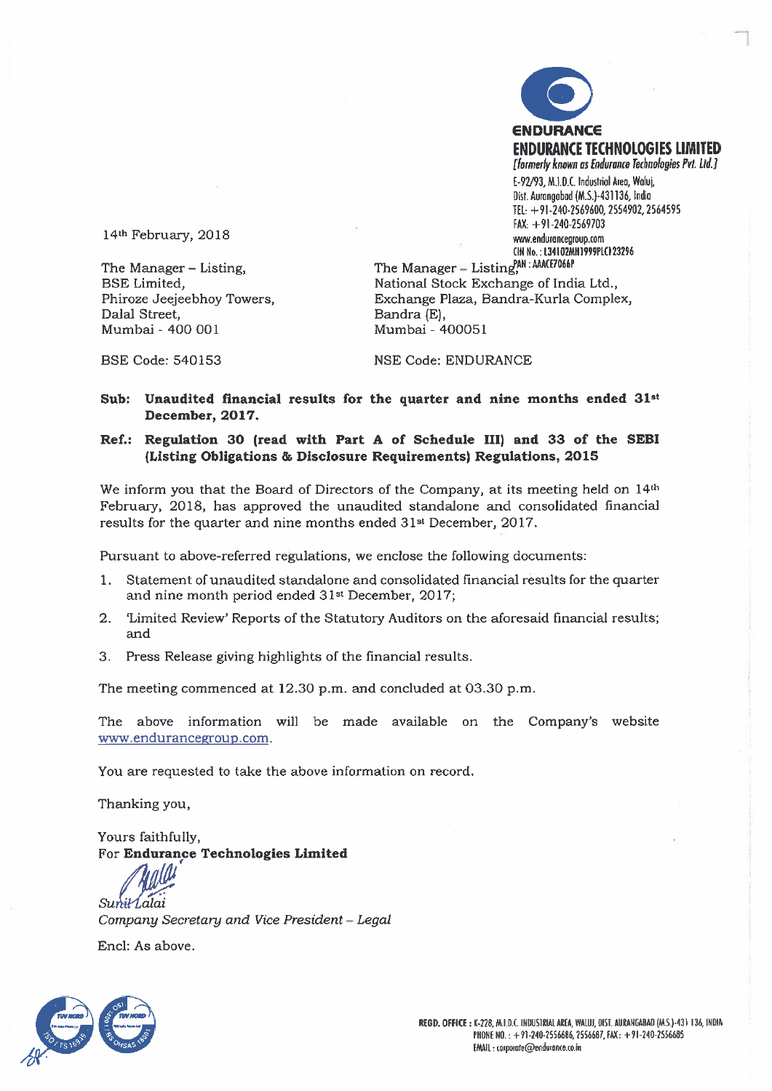

14th February, 2018

The Manager — Listing, BSE Limited, Phiroze Jeejeebhoy Towers, Dalal Street, Mumbai - 400 001

The Manager - Listing<sup>PAN</sup>: AAACE7066P National Stock Exchange of India Ltd., Exchange Plaza, Bandra-Kurla Complex, Bandra (E), Mumbai - 400051

BSE Code: 540153

NSE Code: ENDURANCE

Sub: Unaudited financial results for the quarter and nine months ended  $31^{st}$ December, 2017.

#### Ref.: Regulation 30 (read with Part A of Schedule III) and 33 of the SEBI (Listing Obligations & Disclosure Requirements) Regulations, 2015

We inform you that the Board of Directors of the Company, at its meeting held on 14th February, 2018, has approved the unaudited standalone and consolidated financial results for the quarter and nine months ended 31st December, 2017.

Pursuant to above-referred regulations, we enclose the following documents:

- 1. Statement of unaudited standalone and consolidated financial results for the quarter and nine month period ended 31st December, 2017;
- 2. 'Limited Review' Reports of the Statutory Auditors on the aforesaid financial results; and
- 3. Press Release giving highlights of the financial results.

The meeting commenced at 12.30 p.m. and concluded at 03.30 p.m.

The above information will be made available on the Company's website www.endurancegroup.com.

You are requested to take the above information on record.

Thanking you,

Yours faithfully, For Endurance Technologies Limited

Sunit Lalai

Company Secretary and Vice President - Legal

End: As above

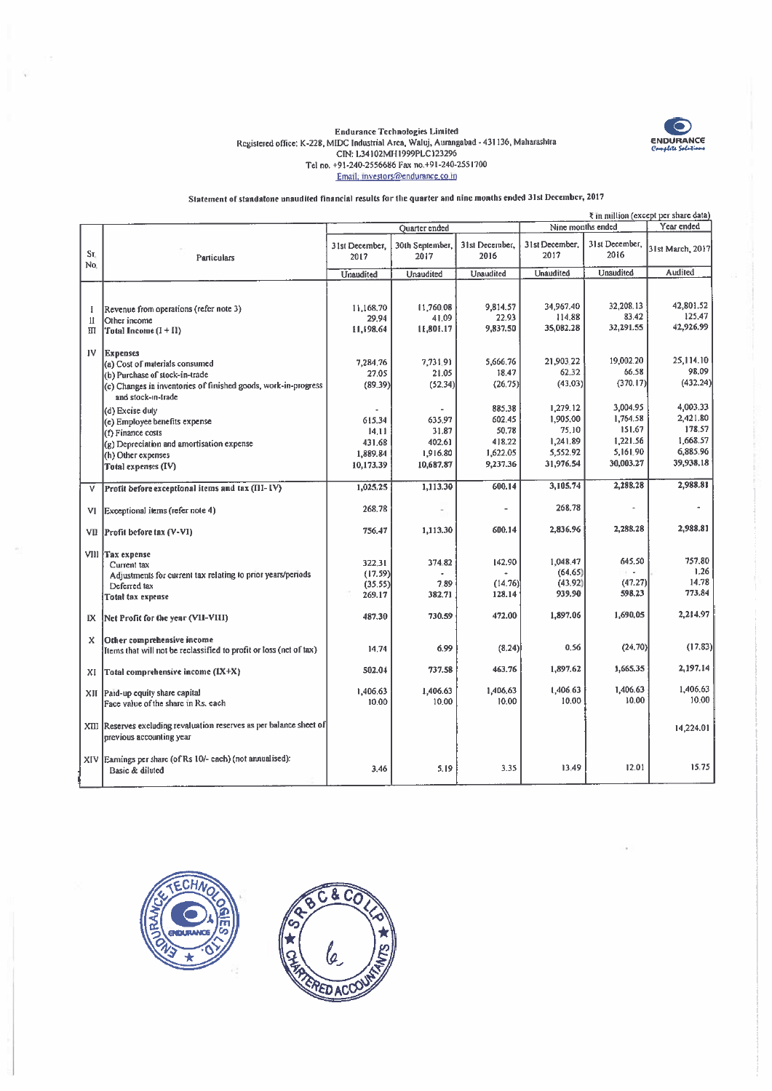

# Endurance Technologies Limited<br>Registered office: K-228, MIDC Industrial Area, Waluj, Aurangabad - 431136, Maharashtra<br>CIN: L34102MH1999PLC123296<br>Tel no. +91-240-2556686 Fax no.+91-240-2551700<br>Email: investors@endurance.c

Statement of standalone unaudited financial results for the quarter and nine months ended 31st December, 2017

|              |                                                                                      | ₹ in million (except per share data) |                         |                        |                                 |                        |                  |  |
|--------------|--------------------------------------------------------------------------------------|--------------------------------------|-------------------------|------------------------|---------------------------------|------------------------|------------------|--|
|              |                                                                                      |                                      | Ouarter ended           |                        | Year ended<br>Nine months ended |                        |                  |  |
| Sr.<br>No.   | Particulars                                                                          | 31st December.<br>2017               | 30th September,<br>2017 | 31st December,<br>2016 | 31st December.<br>2017          | 31st December,<br>2016 | 31st March, 2017 |  |
|              |                                                                                      | Unaudited                            | Unaudited               | Unaudited              | Unaudited                       | Unaudited              | Audited          |  |
|              |                                                                                      |                                      |                         |                        |                                 |                        |                  |  |
|              |                                                                                      |                                      |                         |                        |                                 |                        |                  |  |
|              |                                                                                      | 11.168.70                            | 11,760.08               | 9,814.57               | 34,967.40                       | 32,208.13              | 42,801.52        |  |
| Ŧ            | Revenue from operations (refer note 3)                                               | 29,94                                | 41.09                   | 22.93                  | 114.88                          | 83.42                  | 125.47           |  |
| 11           | Other income                                                                         | 11,198.64                            | 11,801.17               | 9.837.50               | 35,082.28                       | 32,291.55              | 42,926.99        |  |
| $\mathbf{H}$ | Total Income $(I + II)$                                                              |                                      |                         |                        |                                 |                        |                  |  |
|              |                                                                                      |                                      |                         |                        |                                 |                        |                  |  |
| IV           | <b>Expenses</b>                                                                      | 7,284.76                             | 7,731.91                | 5,666.76               | 21,903.22                       | 19.002.20              | 25,114.10        |  |
|              | (a) Cost of materials consumed                                                       |                                      |                         | 18.47                  | 62.32                           | 66.58                  | 98,09            |  |
|              | (b) Purchase of stock-in-trade                                                       | 27.05                                | 21.05                   |                        |                                 | (370, 17)              | (432.24)         |  |
|              | (c) Changes in inventories of finished goods, work-in-progress<br>and stock-in-trade | (89.39)                              | (52.34)                 | (26.75)                | (43.03)                         |                        |                  |  |
|              |                                                                                      |                                      |                         | 885.38                 | 1.279.12                        | 3.004.95               | 4,003.33         |  |
|              | (d) Excise duty                                                                      |                                      | 635.97                  | 602.45                 | 1,905.00                        | 1,764.58               | 2,421.80         |  |
|              | (e) Employee benefits expense                                                        | 615,34                               | 31.87                   | 50.78                  | 75.10                           | 151.67                 | 178.57           |  |
|              | (f) Finance costs                                                                    | 14.11                                |                         | 418.22                 | 1,241.89                        | 1,221.56               | 1,668.57         |  |
|              | (g) Depreciation and amortisation expense                                            | 431.68                               | 402.61                  |                        | 5,552.92                        | 5,161.90               | 6,885.96         |  |
|              | (h) Other expenses                                                                   | 1.889.84                             | 1,916.80                | 1,622.05               |                                 |                        | 39,938.18        |  |
|              | Total expenses (IV)                                                                  | 10,173.39                            | 10,687.87               | 9,237.36               | 31,976.54                       | 30,003.27              |                  |  |
| v            | Profit before exceptional items and tax (III-IV)                                     | 1,025.25                             | 1,113.30                | 600.14                 | 3,105.74                        | 2,288.28               | 2,988.81         |  |
|              |                                                                                      |                                      |                         |                        |                                 |                        |                  |  |
| VI           | Exceptional items (refer note 4)                                                     | 268.78                               |                         |                        | 268.78                          | ×                      |                  |  |
|              |                                                                                      | 756.47                               | 1,113.30                | 600.14                 | 2,836.96                        | 2,288.28               | 2,988.81         |  |
| VII          | Profit before tax (V-VI)                                                             |                                      |                         |                        |                                 |                        |                  |  |
|              | VIII Tax expense                                                                     |                                      |                         |                        |                                 |                        |                  |  |
|              | Current tax                                                                          | 322.31                               | 374.82                  | 142.90                 | 1.048.47                        | 645.50                 | 757.80           |  |
|              | Adjustments for current tax relating to prior years/periods                          | (17.59)                              |                         |                        | (64.65)                         |                        | 1.26             |  |
|              | Deferred tax                                                                         | (35.55)                              | 7.89                    | (14.76)                | (43.92)                         | (47.27)                | 14.78            |  |
|              | Total tax expense                                                                    | 269.17                               | 382.71                  | 128.14                 | 939.90                          | 598.23                 | 773.84           |  |
|              |                                                                                      |                                      |                         | 472.00                 | 1,897.06                        | 1,690.05               | 2.214.97         |  |
| IX.          | Net Profit for the year (VII-VIII)                                                   | 487.30                               | 730.59                  |                        |                                 |                        |                  |  |
| X            | Other comprehensive income                                                           |                                      |                         |                        |                                 |                        |                  |  |
|              | Items that will not be reclassified to profit or loss (net of tax)                   | 14.74                                | 6.99                    | (8.24)                 | 0.56                            | (24, 70)               | (17.83)          |  |
|              |                                                                                      |                                      |                         |                        |                                 |                        |                  |  |
| XI           | Total comprehensive income (IX+X)                                                    | 502.04                               | 737.58                  | 463.76                 | 1.897.62                        | 1,665,35               | 2,197.14         |  |
|              |                                                                                      |                                      |                         |                        |                                 |                        |                  |  |
| XII          | Paid-up equity share capital                                                         | 1.406.63                             | 1,406.63                | 1,406,63               | 1,406.63                        | 1,406.63               | 1,406.63         |  |
|              | Face value of the share in Rs. each                                                  | 10.00                                | 10.00                   | 10.00                  | 10.00                           | 10.00                  | 10.00            |  |
|              |                                                                                      |                                      |                         |                        |                                 |                        |                  |  |
|              | XIII Reserves excluding revaluation reserves as per balance sheet of                 |                                      |                         |                        |                                 |                        | 14.224.01        |  |
|              | previous accounting year                                                             |                                      |                         |                        |                                 |                        |                  |  |
|              |                                                                                      |                                      |                         |                        |                                 |                        |                  |  |
|              | XIV Earnings per share (of Rs 10/- each) (not annualised):                           |                                      |                         |                        |                                 |                        | 15.75            |  |
|              | Basic & diluted                                                                      | 3.46                                 | 5.19                    | 3.35                   | 13.49                           | 12.01                  |                  |  |
|              |                                                                                      |                                      |                         |                        |                                 |                        |                  |  |



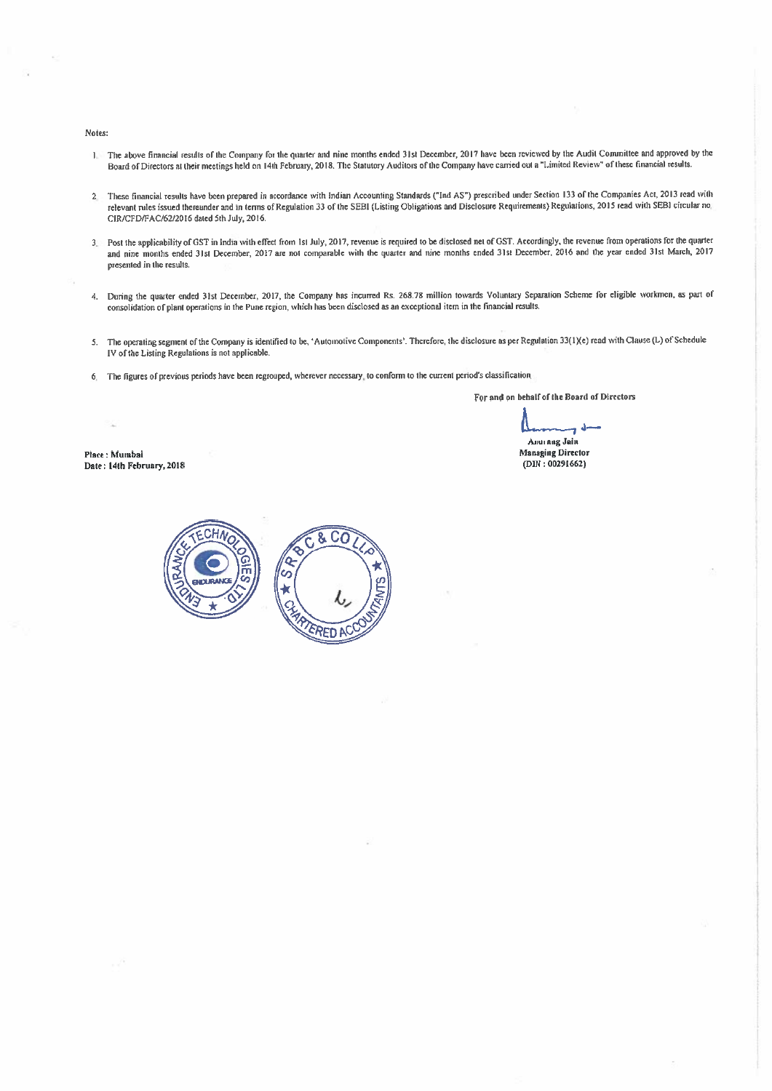#### Notes:

- 1. The above financial results of the Company for the quarter and nine months ended 31st December, 2017 have been reviewed by the Audit Committee and approved by the Board of Directors at their meetings held on 14th February, 2018. The Statutory Auditors of the Company have carried out a "Limited Review" of these financial results.
- 2. These financial results have been prepared in accordance with Indian Accounting Standards ("Ind AS") prescribed under Section 133 of the Companies Act, 2013 read with relevant rules issued thereunder and in terms of Regulation 33 of the SEBI (Listing Obtigations and Disclosure Requirements) Regulations, 2015 read with SEBI circular no CIR/CFD/FAC/62/2016 dated 5th July, 2016.
- 3. Post the applicability of GST in India with effect from 1st July, 2017, revenue is required to be disclosed net of GST. Accordingly, the revenue from operations for the quarter and nine monllts ended 31st December, 2017 are nol comparable wiih the quarter and nine months ended 3lsi December, 2016 and Ihe year ended 31st March, 2017 presenled in the results.
- 4. During the quarter ended 31st December, 2017, the Company has incurred Rs. 268.78 million towards Voluntary Separalion Scheme for eligible workmen, as pail of consolidation of plant operations in the Pune region, which has been disclosed as an exceptional item in the financial results.
- 5. The operating segment of the Company is identified to be, 'Automotive Components'. Therefore, the disclosure as per Regulation 33(1)(e) read with Clause (L) of Schedule IV of the Listing Regulations is not applicable.
- 6 The figures ofprevious periods have been regrouped, wherever necessary to confonn to the cuzrent penod's classificalion

For and on behatfof the Board of DIrectors

 $\perp$ Anurang Jain

Place: Mumbai Date: 14th February, 2018 Managing Director (DIN : 00291662)

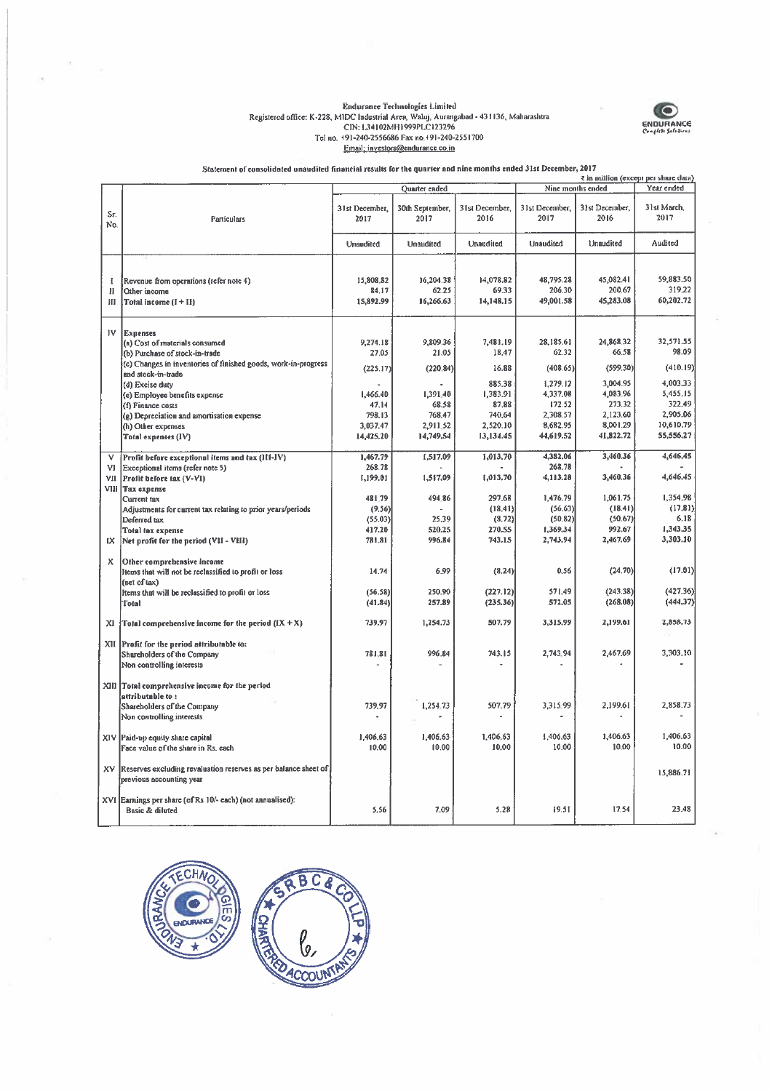## $\label{thm:rel}$  Registered office: K-228, MIDC Industrial Area, Waluj, Aurangabad - 431136, Maharashtra<br>CIN: 1.34102MH1999PLC123296<br>Tel no. +91-240-2556686 Fax no.+91-240-2551700<br>Email: investors@endurance.co.in



Statement of consolidated unaudited financial results for the quarter and nine months ended 31st December, 2017

|            | ₹ in million (except per share data)                                                        |                        |                         |                        |                                 |                        |                       |  |
|------------|---------------------------------------------------------------------------------------------|------------------------|-------------------------|------------------------|---------------------------------|------------------------|-----------------------|--|
|            |                                                                                             |                        | Quarter ended           |                        | Nine months ended<br>Year ended |                        |                       |  |
| Sг.<br>No. | Particulars                                                                                 | 31st December,<br>2017 | 30th September,<br>2017 | 31st December.<br>2016 | 31st December.<br>2017          | 31st December.<br>2016 | 31st March.<br>2017   |  |
|            |                                                                                             | Unaudited              | Unaudited               | Unaudited              | Unaudited                       | Unaudited              | Audited               |  |
|            |                                                                                             |                        |                         |                        |                                 |                        |                       |  |
| I          | Revenue from operations (refer note 4)                                                      | 15,808.82              | 16,204.38               | 14,078.82              | 48,795.28                       | 45,082.41              | 59,883.50             |  |
| и          | Other income                                                                                | 84,17                  | 62.25                   | 69.33                  | 206.30                          | 200.67                 | 319.22                |  |
| Ш          | Total income (I + II)                                                                       | 15,892.99              | 16,266.63               | 14,148,15              | 49,001.58                       | 45,283.08              | 60,202.72             |  |
| 1V         | <b>Expenses</b>                                                                             |                        |                         |                        |                                 |                        |                       |  |
|            | (a) Cost of materials consumed                                                              | 9.274.18               | 9,809.36                | 7,481.19               | 28.185.61                       | 24,868.32              | 32,571.55             |  |
|            | (b) Purchase of stock-in-trade                                                              | 27,05                  | 21.05                   | 18.47                  | 62.32                           | 66.58                  | 98.09                 |  |
|            | (c) Changes in inventories of finished goods, work-in-progress<br>and stock-in-trade        | (225.17)               | (220.84)                | 16.88                  | (408.65)                        | (599.30)               | (410.19)              |  |
|            | (d) Excise duty                                                                             |                        |                         | 885.38                 | 1,279.12                        | 3,004.95               | 4,003.33              |  |
|            | (e) Employee benefits expense                                                               | 1,466.40               | 1,391.40                | 1,383.91               | 4.337.08                        | 4,083.96               | 5,455.15              |  |
|            | (f) Finance costs                                                                           | 47.14                  | 68.58                   | 87.88                  | 172.52                          | 273.32                 | 322.49<br>2,905.06    |  |
|            | (g) Depreciation and amortisation expense                                                   | 798.13                 | 768.47<br>2,911.52      | 740.64<br>2,520.10     | 2,308.57<br>8,682.95            | 2,123.60<br>8,001.29   | 10,610.79             |  |
|            | (h) Other expenses<br>Total expenses (IV)                                                   | 3,037.47<br>14,425.20  | 14,749.54               | 13,134.45              | 44,619.52                       | 41,822.72              | 55,556.27             |  |
|            |                                                                                             |                        |                         |                        |                                 |                        |                       |  |
| v          | Profit before exceptional items and tax (III-IV)                                            | 1.467.79               | 1.517.09                | 1,013,70               | 4.382.06                        | 3.460.36               | 4,646.45              |  |
| VI.        | Exceptional items (refer note 5)                                                            | 268.78                 |                         |                        | 268,78                          |                        |                       |  |
|            | VII Profit before tax (V-VI)                                                                | 1,199.01               | 1,517.09                | 1,013.70               | 4,113.28                        | 3,460.36               | 4,646.45              |  |
|            | VIII Tax expense<br>Current tax                                                             | 481.79                 | 494 86                  | 297.68                 | 1,476.79                        | 1,061.75               | 1,354.98              |  |
|            | Adjustments for current tax relating to prior years/periods                                 | (9.56)                 |                         | (18.41)                | (56.63)                         | (18.41)                | (17.81)               |  |
|            | Deferred tax                                                                                | (55.03)                | 25.39                   | (8.72)                 | (50.82)                         | (50.67)                | 6.18                  |  |
|            | Total tax expense                                                                           | 417.20                 | 520.25                  | 270.55                 | 1,369.34                        | 992.67                 | 1,343,35              |  |
| IX.        | Net profit for the period (VII - VIII)                                                      | 781.81                 | 996.84                  | 743.15                 | 2,743.94                        | 2,467.69               | 3,303.10              |  |
| x          | Other comprehensive income                                                                  |                        |                         |                        |                                 |                        |                       |  |
|            | liems that will not be reclassified to profit or loss                                       | 14.74                  | 6.99                    | (8.24)                 | 0.56                            | (24.70)                | (17.01)               |  |
|            | $ $ (net of tax)                                                                            |                        |                         |                        |                                 |                        |                       |  |
|            | Items that will be reclassified to profit or loss                                           | (56.58)                | 250.90<br>257.89        | (227.12)               | 571.49<br>572.05                | (243.38)<br>(268.08)   | (427.36)<br>(444, 37) |  |
|            | Total                                                                                       | (41.84)                |                         | (235.36)               |                                 |                        |                       |  |
| xı         | Total comprehensive income for the period $(IX + X)$                                        | 739.97                 | 1,254.73                | 507.79                 | 3,315.99                        | 2,199.61               | 2,858.73              |  |
| XII        | Profit for the period attributable to:                                                      |                        |                         |                        |                                 |                        |                       |  |
|            | Shareholders of the Company                                                                 | 781.81                 | 996.84                  | 743.15                 | 2,743.94                        | 2,467.69               | 3,303.10              |  |
|            | Non controlling interests                                                                   |                        |                         |                        |                                 |                        |                       |  |
|            | XIII Total comprehensive income for the period                                              |                        |                         |                        |                                 |                        |                       |  |
|            | attributable to:                                                                            |                        |                         |                        |                                 |                        |                       |  |
|            | Shareholders of the Company                                                                 | 739.97                 | 1,254.73                | 507.79                 | 3,315.99                        | 2.199.61               | 2,858.73              |  |
|            | Non controlling interests                                                                   |                        |                         |                        |                                 |                        |                       |  |
|            | XIV Paid-up equity share capital                                                            | 1,406.63               | 1,406.63                | 1,406.63               | 1,406.63                        | 1,406.63               | 1,406.63              |  |
|            | Face value of the share in Rs. each                                                         | 10.00                  | 10,00                   | 10.00                  | 10.00                           | 10.00                  | 10.00                 |  |
|            |                                                                                             |                        |                         |                        |                                 |                        |                       |  |
| XV         | Reserves excluding revaluation reserves as per balance sheet of<br>previous accounting year |                        |                         |                        |                                 |                        | 15,886.71             |  |
|            |                                                                                             |                        |                         |                        |                                 |                        |                       |  |
|            | XVI Earnings per share (of Rs 10/- each) (not annualised):                                  |                        |                         |                        |                                 |                        | 23.48                 |  |
|            | Basic & diluted                                                                             | 5.56                   | 7.09                    | 5.28                   | 19.51                           | 17.54                  |                       |  |

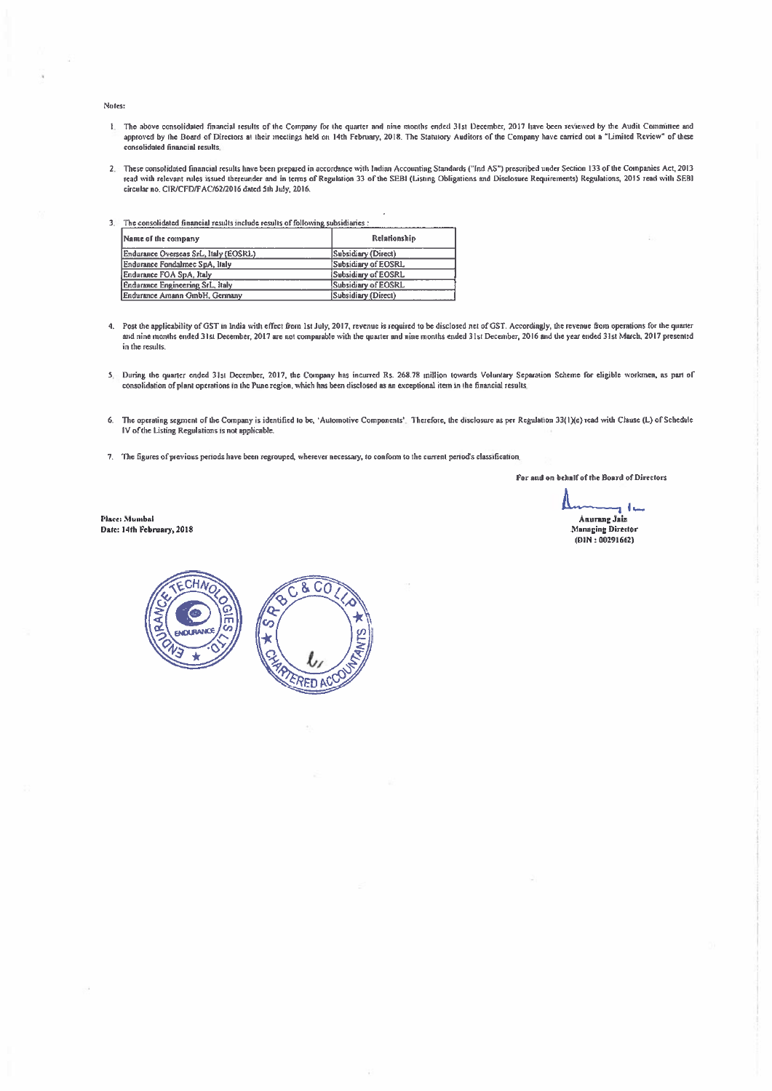Notes:

- The above consolidated financial results of the Company for the quarter and nine months ended 31st December, 2017 have been reviewed by the Audit Committee and any control out a "Limited Review" of these and a "Limited Rev consolidated financial results
- 2 These consolidated financial results have been prepared in accordance whit Indian Accounting Standards ("md AS") prescribed under Section 133 ofthe Companies Act, 2013 rend with relevant ivies issued thereunder and in wrens of Regulation 33 of the SEBI (Listing Obligations and Diecloaure Reqniretnenta) Regulations, 2015 read with SEBI circular no. CIR/CFD/FAC/62/2016 dated 5th July, 2016.
- 3. The consolidated financial results include results of following subsidiaries :

| Name of the company                   | Relationship        |
|---------------------------------------|---------------------|
| Endurance Overseas SrL, Italy (EOSRL) | Subsidiary (Direct) |
| Endurance Fondalmec SpA, Italy        | Subsidiary of EOSRL |
| Endurance FOA SpA, Italy              | Subsidiary of EOSRL |
| Endurance Engineering SrL, Italy      | Subsidiary of EOSRL |
| Endurance Amann GmbH, Germany         | Subsidiary (Direct) |

- 4. Post the applicability of GST in India with effect from 1st July, 2017, revenue is required to be disclosed net of GST. Accordingly, the revenue from operations for the quarter and nine months ended 31st December, 2017 are not comparable with the qnazter and nine months ended 31st December, <sup>2016</sup> and theyesr ended 31st March, <sup>2017</sup> presented in the results.
- 5. During the quarter ended 31st December, 2017, the Company has incurred Rs. 268.78 million towards Voluntary Separation Scheme for eligible workmen, as part of consolidation of plant operations in the Pune region, which has been disclosed as an exceptional item in the financial results
- 6. The operating segment of the Company is identified to be, 'Automotive Components'. Therefore, the disclosure as per Regulation 33(1)(e) read with Clause (L) of Schedule IV of the Listing Regulations is not applicable.
- 7. The figures of previous periods have been regrouped, wherever necessary, to conform to the current period's classification.

For and on behalf of the Board of Directors

حة و Aaurang Jaiaa Managing Director (DIN: 00291662)

Place: Mumbai Date: 14ff. Pebmaary, 2018

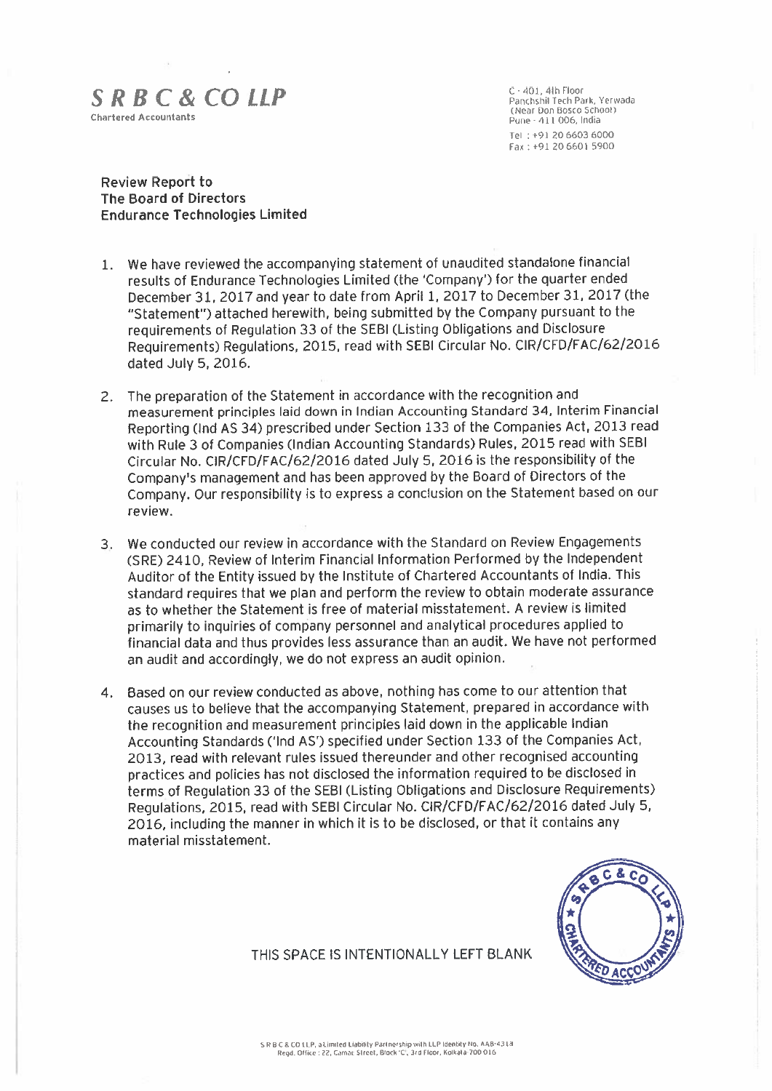### $S \, R \, B \, C \, \& CO \, LLP$ <br>  $S \, R \, B \, C \, \& CO \, LPP$ <br>  $S \, R \, B \, C \, \& CO \, LPP$ Chartered Accountants<br>Pune (111 006, India School) Domain and School (Near-411 006, India

Tel : +912066036000 Fax: +91 206601 5900

#### Review Report to The Board of Directors Endurance Technologies Limited

- 1. We have reviewed the accompanying statement of unaudited standalone financial results of Endurance Technologies Limited (the 'Company') for the quarter ended December 31, <sup>2017</sup> and year to date from April 1, <sup>2017</sup> to December 31, <sup>2017</sup> (the "Statement") attached herewith, being submitted by the Company pursuant to the requirements of Regulation 33 of the SEBI (Listing Obligations and Disclosure Requirements) Regulations, 2015, read with SEBI Circular No. CIR/CFD/FAC/62/2016 dated July 5, 2016.
- 2. The preparation of the Statement in accordance with the recognition and measurement principles laid down in Indian Accounting Standard 34, Interim Financial Reporting (Ind AS 34) prescribed under Section 133 of the Companies Act, 2013 read with Rule 3 of Companies (Indian Accounting Standards) Rules, 2015 read with SEBI Circular No. CIR/CFD/FAC/62/2016 dated July 5, 2016 is the responsibility of the Company's management and has been approved by the Board of Directors of the Company. Our responsibility is to express <sup>a</sup> conclusion on the Statement based on our review.
- 3. We conducted our review in accordance with the Standard on Review Engagements (SRE) 2410, Review of Interim Financial Information Performed by the Independent Auditor of the Entity issued by the Institute of Chartered Accountants of India. This standard requires that we plan and perform the review to obtain moderate assurance as to whether the Statement is free of material misstatement. A review is limited primarily to inquiries of company personnel and analytical procedures applied to financial data and thus provides less assurance than an audit. We have not performed an audit and accordingly, we do not express an audit opinion.
- 4. Based on our review conducted as above, nothing has come to our attention that causes us to believe that the accompanying Statement, prepared in accordance with the recognition and measurement principles laid down in the applicable Indian Accounting Standards ('Ind AS') specified under Section 133 of the Companies Act, 2013, read with relevant rules issued thereunder and other recognised accounting practices and policies has not disclosed the information required to be disclosed in terms of Regulation 33 of the SEBI (Listing Obligations and Disclosure Requirements) Regulations, 2015, read with SEBI Circular No. CIR/CFD/FAC/62/2016 dated July 5, 2016, including the manner in which it is to be disclosed, or that it contains any material misstatement.



THIS SPACE IS INTENTIONALLY LEFT BLANK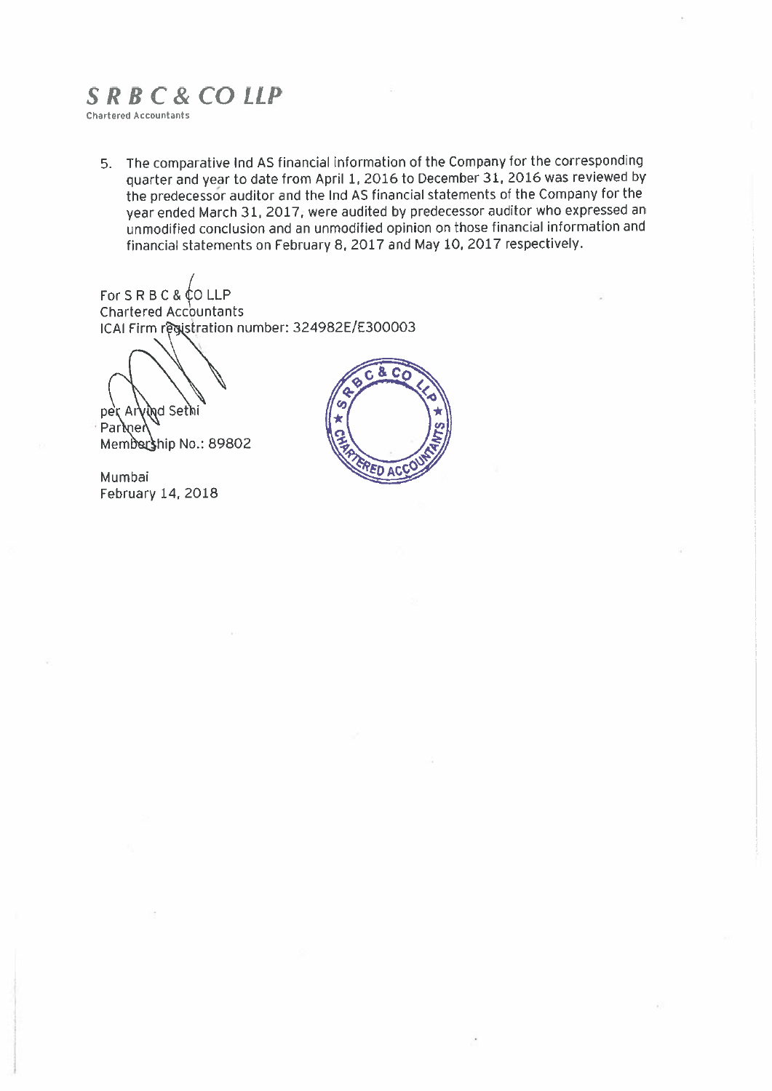## SRB C& CO LLP

Chartered Accountants

5. The comparative Ind AS financial information of the Company for the corresponding quarter and year to date from April 1, <sup>2016</sup> to December 31, <sup>2016</sup> was reviewed by the predecessor auditor and the lnd AS financial statements of the Company for the year ended March 31, 2017, were audited by predecessor auditor who expressed an unmodified conclusion and an unmodified opinion on those financial information and financial statements on February 8, 2017 and May 10, 2017 respectively.

For  $S \, R \, B \, C \, \& \, \mathbb{C}$  O LLP Chartered Accountants ICAI Firm registration number: 324982E/E300003

yind Sethi per Ar

้ Parmer Membership No.: 89802

Mumbai February 14. 2018

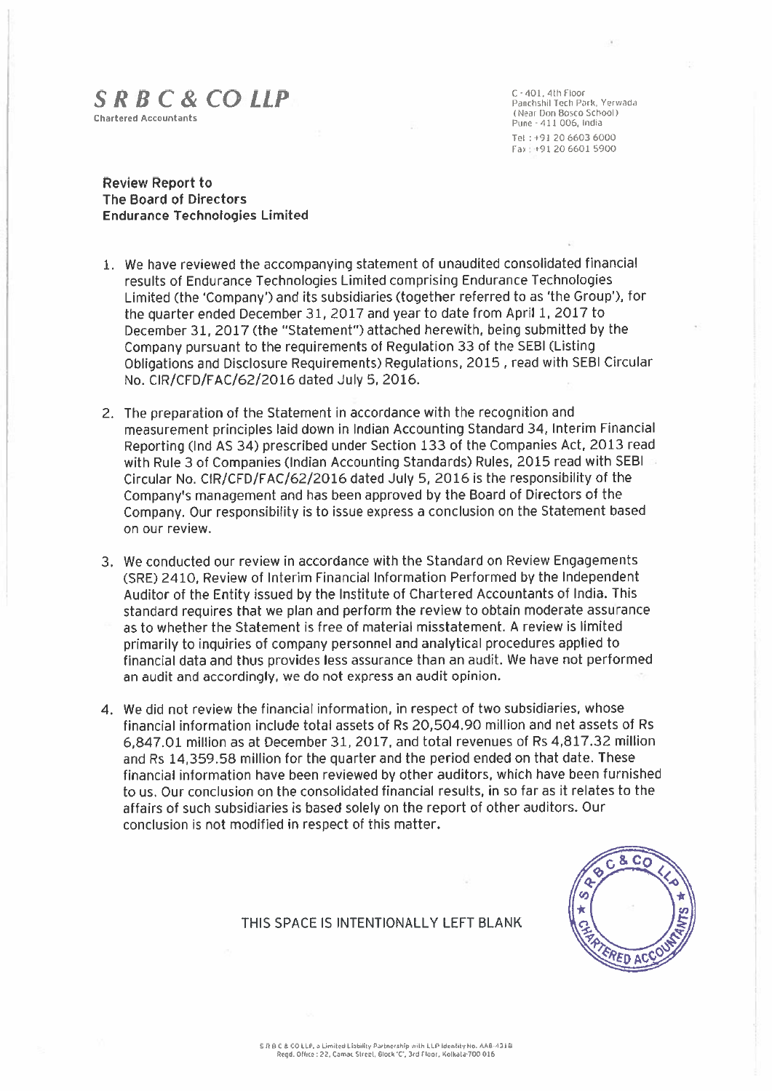## $S \, R \, B \, C \, \& \, CO \, LLP$   $\begin{array}{ccc} C \cdot 401, 4 \text{th } \text{Floor} \\ \text{Panchshil Tech } \text{Park, Yerwada} \end{array}$

Chartered Accountants (Near Don Bosco School) Pune - <sup>411</sup> 006, IndIa Tel +91 2066036000 Fax +91 20 6601 5900

#### Review Report to The Board of Directors Endurance Technologies Limited

- 1. We have reviewed the accompanying statement of unaudited consolidated financial results of Endurance Technologies Limited comprising Endurance Technologies Limited (the 'Company') and its subsidiaries (together referred to as 'the Group'), for the quarter ended December 31, <sup>2017</sup> and year to date from April 1, <sup>2017</sup> to December 31, 2017 (the "Statement") attached herewith, being submitted by the Company pursuant to the requirements of Regulation 33 of the SEBI (Listing Obligations and Disclosure Requirements) Regulations, 2015 , read with SEBI Circular No. CIRfCFD/FAC/62/2O16 dated July 5, 2016.
- 2, The preparation of the Statement in accordance with the recognition and measurement principles laid down in Indian Accounting Standard 34, Interim Financial Reporting (md AS 34) prescribed under Section 133 of the Companies Act, 2013 read with Rule 3 of Companies (Indian Accounting Standards) Rules, 2015 read with SEBI Circular No. CIR/CFD/FAC/62/2016 dated July 5, 2016 is the responsibility of the Company's management and has been approved by the Board of Directors of the Company. Our responsibility is to issue express <sup>a</sup> conclusion on the Statement based on our review.
- 3. We conducted our review in accordance with the Standard on Review Engagements (SRE) 2410, Review of Interim Financial Information Performed by the Independent Auditor of the Entity issued by the Institute of Chartered Accountants of India. This standard requires that we plan and perform the review to obtain moderate assurance as to whether the Statement is free of material misstatement. A review is limited primarily to inquiries of company personnel and analytical procedures applied to financial data and thus provides less assurance than an audit. We have not performed an audit and accordingly, we do not express an audit opinion.
- 4. We did not review the financial information, in respect of two subsidiaries, whose financial information include total assets of Rs 20,504.90 million and net assets of Rs 6,847.01 million as at December 31, 2017, and total revenues of Rs 4,817.32 million and Rs 14,359.58 million for the quarter and the period ended on that date. These financial information have been reviewed by other auditors, which have been furnished to us. Our conclusion on the consolidated financial results, in so far as it relates to the affairs of such subsidiaries is based solely on the report of other auditors. Our conclusion is not modified in respect of this matter.



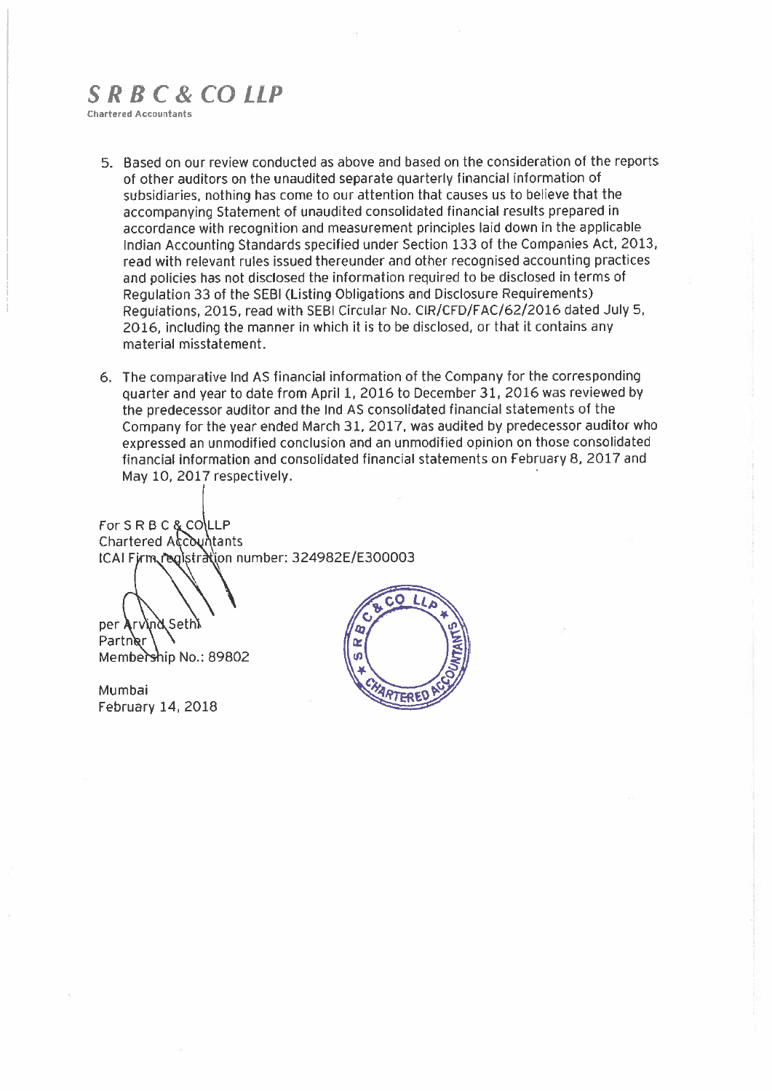### SR8C& CO LLP

Chartered Accountants

- 5. Based on our review conducted as above and based on the consideration of the reports of other auditors on the unaudited separate quarterly financial information of subsidiaries, nothing has come to our attention that causes us to believe that the accompanying Statement of unaudited consolidated financial results prepared in accordance with recognition and measurement principles laid down in the applicable Indian Accounting Standards specified under Section 133 of the Companies Act, 2013, read with relevant rules issued thereunder and other recognised accounting practices and policies has not disclosed the information required to be disclosed in terms of Regulation 33 of the SEBI (Listing Obligations and Disclosure Requirements) Regulations, 2015, read with SEBI Circular No. C[R/CFD/FAC/62/2016 dated July 5, 2016, including the manner in which it is to be disclosed, or that it contains any material misstatement.
- 6. The comparative Ind AS financial information of the Company for the corresponding quarter and year to date from April 1, <sup>2016</sup> to December 31, <sup>2016</sup> was reviewed by the predecessor auditor and the Ind AS consolidated financial statements of the Company for the year ended March 31, 2017, was audited by predecessor auditor who expressed an unmodified conclusion and an unmodified opinion on those consolidated financial information and consolidated financial statements on February 8, 2017 and May 10, 2017 respectively

CAI Firm registration number: 324982E/E300003 For SRBC & COLLP Chartered Accountants

per Arvind Sethi

Partner Membership No.: 89802

Mumbai February 14, 2018

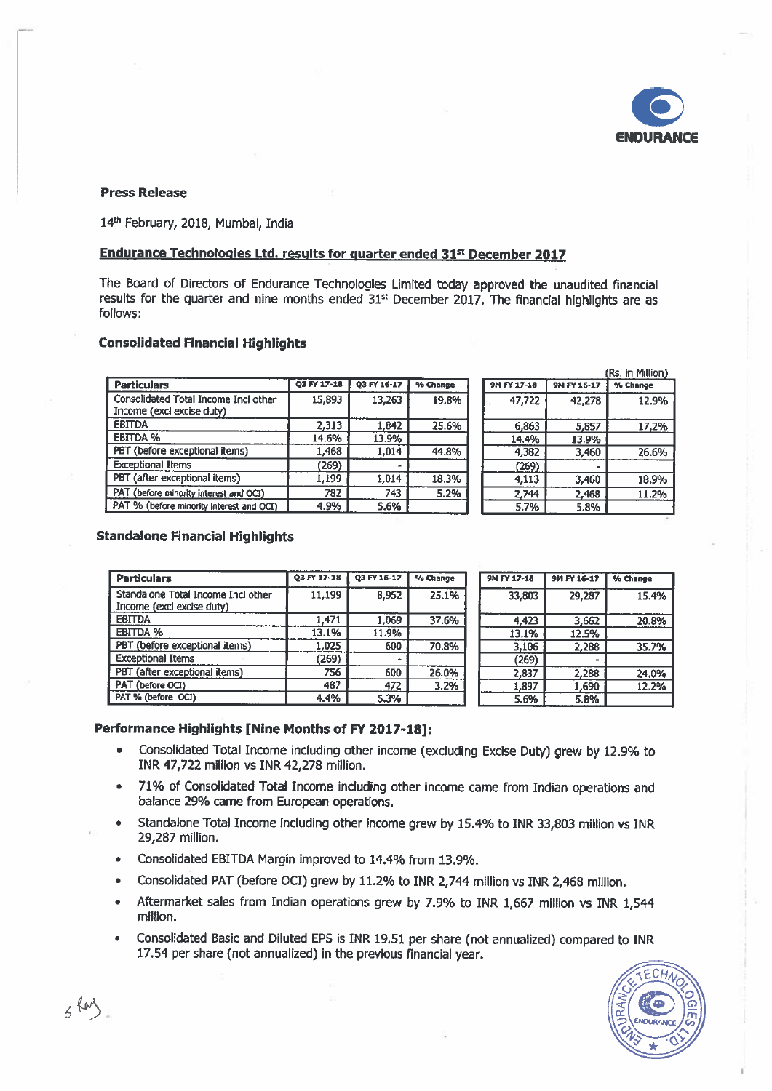

#### Press Release

14<sup>th</sup> February, 2018, Mumbai, India

#### Endurance Technologies Ltd. results for quarter ended 31st December 2017

The Board of Directors of Endurance Technologies Limited today approved the unaudited financial results for the quarter and nine months ended 31<sup>st</sup> December 2017. The financial highlights are as follows:

#### Consolidated Financial Highlights

|                                                                   |             |             |          |             |             | (Rs. in Million) |
|-------------------------------------------------------------------|-------------|-------------|----------|-------------|-------------|------------------|
| <b>Particulars</b>                                                | Q3 FY 17-18 | 03 FY 16-17 | % Change | 9M FY 17-18 | 9M FY 16-17 | % Change         |
| Consolidated Total Income Incl other<br>Income (excl excise duty) | 15,893      | 13,263      | 19.8%    | 47,722      | 42,278      | 12.9%            |
| <b>EBITDA</b>                                                     | 2,313       | 1,842       | 25.6%    | 6,863       | 5,857       | 17,2%            |
| <b>EBITDA %</b>                                                   | 14.6%       | 13.9%       |          | 14.4%       | 13.9%       |                  |
| PBT (before exceptional items)                                    | 1,468       | 1,014       | 44.8%    | 4,382       | 3,460       | 26.6%            |
| <b>Exceptional Items</b>                                          | (269)       |             |          | (269)       |             |                  |
| PBT (after exceptional items)                                     | 1,199       | 1.014       | 18.3%    | 4,113       | 3,460       | 18.9%            |
| PAT (before minority interest and OCI)                            | 782         | 743         | 5.2%     | 2,744       | 2,468       | 11.2%            |
| PAT % (before minority interest and OCI)                          | 4.9%        | 5.6%        |          | 5.7%        | 5.8%        |                  |
|                                                                   |             |             |          |             |             |                  |

#### Standalone Financial Highlights

| <b>Particulars</b>                                              | 03 FY 17-18 | 03 FY 16-17 | % Change | 9M FY 17-18 | 9M FY 16-17 | % Change |
|-----------------------------------------------------------------|-------------|-------------|----------|-------------|-------------|----------|
| Standalone Total Income Incl other<br>Income (excl excise duty) | 11,199      | 8,952       | 25.1%    | 33,803      | 29.287      | 15.4%    |
| <b>EBITDA</b>                                                   | 1.471       | 1,069       | 37.6%    | 4.423       | 3.662       | 20.8%    |
| <b>EBITDA %</b>                                                 | 13.1%       | 11.9%       |          | 13.1%       | 12.5%       |          |
| PBT (before exceptional items)                                  | 1,025       | 600         | 70.8%    | 3,106       | 2,288       | 35.7%    |
| <b>Exceptional Items</b>                                        | (269)       |             |          | (269)       |             |          |
| PBT (after exceptional items)                                   | 756         | 600         | 26.0%    | 2,837       | 2,288       | 24.0%    |
| PAT (before OCI)                                                | 487         | 472         | 3.2%     | 1,897       | 1,690       | 12.2%    |
| PAT % (before OCI)                                              | 4.4%        | 5.3%        |          | 5.6%        | 5.8%        |          |

| $17 - 18$ | 03 FY 16-17 | % Change | 9M FY 17-18 | 9M FY 16-17 | % Change |
|-----------|-------------|----------|-------------|-------------|----------|
| 11,199    | 8.952       | 25.1%    | 33,803      | 29.287      | 15.4%    |
| 1,471     | 1,069       | 37.6%    | 4,423       | 3,662       | 20.8%    |
| 13.1%     | 11.9%       |          | 13.1%       | 12.5%       |          |
| 1,025     | 600         | 70.8%    | 3,106       | 2,288       | 35.7%    |
| (269)     |             |          | (269)       |             |          |
| 756       | 600         | 26.0%    | 2,837       | 2,288       | 24.0%    |
| 487       | 472         | 3.2%     | 1.897       | 1,690       | 12.2%    |
| 4.4%      | 5.3%        |          | 5.6%        | 5.8%        |          |

#### Performance Highlights [Nine Months of FY 2017-18]:

- Consolidated Total Income including other income (excluding Excise Duty) grew by 12.9% to INR 47,722 million vs INR 42,278 million.
- 71% of Consolidated Total Income including other Income came from Indian operations and balance 29% came from European operations.
- Standalone Total Income including other income grew by 15.4% to INR 33,803 million vs INR 29,287 million.
- Consolidated EBITDA Margin improved to 14.4% from 13.9%.
- Consolidated PAT (before OCI) grew by 11.2% to INR 2,744 million vs INR 2,468 million.
- Aftermarket sales from Indian operations grew by 7.9% to INR 1,667 million vs INR 1,544 million.
- Consolidated Basic and Diluted EPS is INR 19.51 per share (not annualized) compared to INR 17.54 per share (not annualized) in the previous financial year.